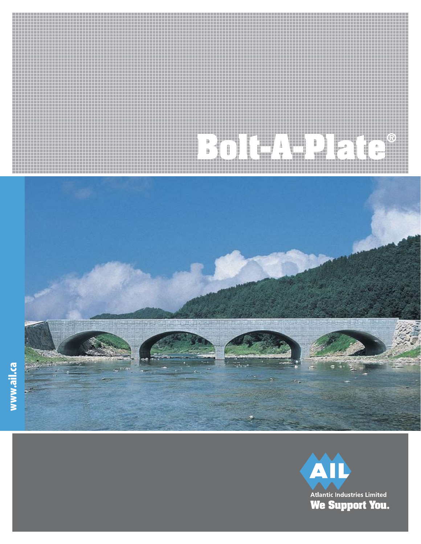# **Bolt-A-Plate®**



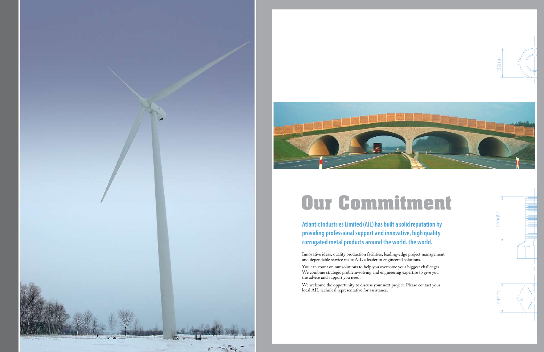



## **Our Commitment**

**Atlantic Industries Limited (AIL) has built a solid reputation by providing professional support and innovative, high quality corrugated metal products around the world. the world.**

Innovative ideas, quality production facilities, leading-edge project management and dependable service make AIL a leader in engineered solutions.

You can count on our solutions to help you overcome your biggest challenges. We combine strategic problem-solving and engineering expertise to give you the advice and support you need.

We welcome the opportunity to discuss your next project. Please contact your local AIL technical representative for assistance.



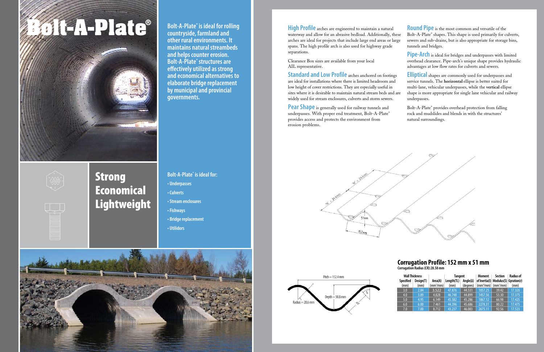# **Bolt-A-Plate® Bolt-A-Plate®**

**Bolt-A-Plate<sup>®</sup> is ideal for rolling countryside, farmland and other rural environments. It maintains natural streambeds and helps counter erosion. Bolt-A-Plate® structures are eff ectively utilized as strong and economical alternatives to elaborate bridge replacement by municipal and provincial governments.** 

## Strong Economical **Lightweight**

**Bolt-A-Plate® is ideal for:** 



**• Underpasses • Culverts • Stream enclosures • Fishways • Bridge replacement • Utilidors**

**Standard and Low Profile** arches anchored on footings are ideal for installations where there is limited headroom and low height of cover restrictions. They are especially useful in sites where it is desirable to maintain natural stream beds and are widely used for stream enclosures, culverts and storm sewers.

Pear Shape is generally used for railway tunnels and underpasses. With proper end treatment, Bolt-A-Plate® provides access and protects the environment from erosion problems.





Clearance Box sizes are available from your local AIL representative.

**High Profile** arches are engineered to maintain a natural waterway and allow for an abrasive bedload. Additionally, these arches are ideal for projects that include large end areas or large spans. The high profile arch is also used for highway grade separations. **Round Pipe** is the most common and versatile of the Bolt-A-Plate® shapes. This shape is used primarily for culverts, sewers and sub-drains, but is also appropriate for storage bins, tunnels and bridges.

**Pipe-Arch** is ideal for bridges and underpasses with limited overhead clearance. Pipe-arch's unique shape provides hydraulic advantages at low flow rates for culverts and sewers.

**Elliptical** shapes are commonly used for underpasses and service tunnels. The **horizontal** ellipse is better suited for multi-lane, vehicular underpasses, while the **vertical** ellipse shape is more appropriate for single lane vehicular and railway underpasses.

Bolt-A-Plate® provides overhead protection from falling rock and mudslides and blends in with the structures' natural surroundings.

| <b>Wall Thickness</b> |           |                      | <b>Tangent</b> |                   | <b>Moment</b>         | <b>Section</b>                       | <b>Radius of</b> |
|-----------------------|-----------|----------------------|----------------|-------------------|-----------------------|--------------------------------------|------------------|
| <b>Specified</b>      | Design(T) | Area(A)              | Length(TL)     | Angle( $\Delta$ ) |                       | of Inertia(I) Modulus(S) Gyration(r) |                  |
| (mm)                  | (mm)      | (mm $^2$ /mm) $\mid$ | (mm)           | (degrees)         | (mm <sup>4</sup> /mm) | $\text{m}^3/\text{mm}$               | (mm)             |
| 3.0                   | 2.84      | 3.522                | 47.876         | 44.531            | 1057.25               | 39.42                                | 17.326           |
| 4.0                   | 3.89      | 4.828                | 46.748         | 44.899            | 1457.56               | 53.30                                | 17.375           |
| 5.0                   | 4.95      | 6.149                | 45.582         | 45.286            | 1867.12               | 66.98                                | 17.425           |
| 6.0                   | 6.00      | 7.461                | 44.396         | 45.686            | 2278.31               | 80.22                                | 17.475           |
| 7.0                   | 7.00      | 8.712                | 43.237         | 46.083            | 2675.11               | 92.56                                | 17.523           |

## **Corrugation Profile: 152 mm x 51 mm**

**Corrugation Radius (CR):28.58 mm**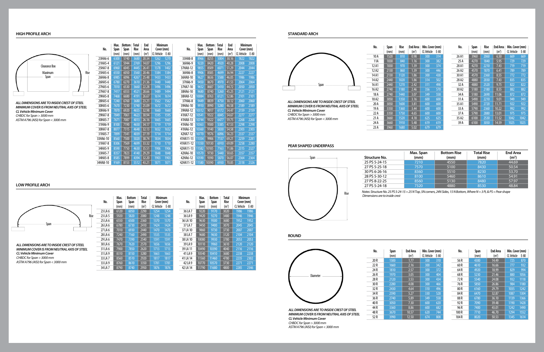## **HIGH PROFILE ARCH**

## **PEAR SHAPED UNDERPASS**

| Structure No. | Max. Span<br>(mm) | <b>Bottom Rise</b><br>(mm) | <b>Total Rise</b><br>(mm) | <b>End Area</b><br>(m <sup>2</sup> ) |
|---------------|-------------------|----------------------------|---------------------------|--------------------------------------|
| 25 PS 5-24-15 | 7210              | 4550                       | 7820                      | 44.69                                |
| 27 PS 5-25-18 | 7570              | 5100                       | 8430                      | 50.54                                |
| 30 PS 6-26-16 | 8360              | 5510                       | 8230                      | 53.70                                |
| 28 PS 5-30-12 | 8100              | 5460                       | 8610                      | 54.91                                |
| 27 PS 8-22-25 | 8560              | 5130                       | 8480                      | 57.97                                |
| 27 PS 5-24-18 | 7320              | 4880                       | 8530                      | 4884                                 |



*Notes: Structure No. 25 PS 5-24-15 = 25 N Top, 5N corners, 24N Sides, 15 N Bottom, Where N = 3 Pi, & PS = Pear shape Dimensions are to inside crest*

## **LOW PROFILE ARCH**

*ALL DIMENSIONS ARE TO INSIDE CREST OF STEEL MINIMUM COVER IS FROM NEUTRAL AXIS OF STEEL CL Vehicle Minimum Cover CHBDC for Span > 3000 mm ASTM A796 (AISI) for Span < 3000 mm*

| ıtal<br>ise      | Minimum<br>Cover (mm) |        | No.      | Max.<br>Span | <b>Bottom</b><br>Span | Total<br>Rise     | <b>Minimum</b><br>Cover (mm) |        |
|------------------|-----------------------|--------|----------|--------------|-----------------------|-------------------|------------------------------|--------|
| n <sup>2</sup> ) | CL Vehicle            | $E-80$ |          | (mm)         | (mm)                  | (m <sup>2</sup> ) | CL Vehicle                   | $E-80$ |
| 90               | 1254                  | 1254   | 36 LA 7  | 9220         | 9170                  | 3020              | 1986                         | 1986   |
| 80 <sup>°</sup>  | 1248                  | 1248   | 36 LA 9  | 9420         | 9270                  | 3480              | 1946                         | 1946   |
| 60               | 1370                  | 1370   | 36 LA 10 | 9630         | 9500                  | 3680              | 1952                         | 1952   |
| 10               | 1424                  | 1424   | 37 LA 7  | 9450         | 9400                  | 3070              | 2045                         | 2045   |
| 40               | 1470                  | 1470   | 37 LA 10 | 9860         | 9730                  | 3730              | 2007                         | 2007   |
| 90               | 1535                  | 1535   | 38 LA 7  | 9680         | 9630                  | 3120              | 2104                         | 2104   |
| 40               | 1591                  | 1591   | 38 LA 10 | 10080        | 9930                  | 3780              | 2053                         | 2053   |
| 70               | 1656                  | 1656   | 39 LA 9  | 10110        | 9960                  | 3610              | 2120                         | 2120   |
| 20               | 1713                  | 1713   | 39 LA 11 | 10490        | 10390                 | 4040              | 2116                         | 2116   |
| 80               | 1663                  | 1663   | 41 LA 9  | 10540        | 10410                 | 3680              | 2238                         | 2238   |
| 20               | 1817                  | 1817   | 41 LA 14 | 11560        | 11460                 | 4780              | 2235                         | 2302   |
| 50               | 1781                  | 1781   | 42 LA 9  | 10770        | 10570                 | 3730              | 2271                         | 2271   |
| 50               | 1876                  | 1876   | 42 LA 14 | 11790        | 11680                 | 4800              | 2285                         | 2346   |

|     | No.      | Span | Span              | Rise | Area              | Cover (mm)        |      |
|-----|----------|------|-------------------|------|-------------------|-------------------|------|
|     |          | (mm) | (mm)              | (mm) | (m <sup>2</sup> ) | <b>CL Vehicle</b> | E-80 |
|     | 23HA6-6  | 6300 | 5740              | 3680 | 20.34             | 1262              | 1270 |
|     | 21HA5-4  | 6121 | 5944              | 2769 | 14.07             | 1296              | 1296 |
|     | 25HA7-8  | 6960 | 6045              | 4445 | 26.41             | 1378              | 1402 |
| ise | 25HA5-6  | 6550 | 6050              | 3560 | 20.46             | 1384              | 1384 |
|     | 26HA6-8  | 6985 | 6096              | 4267 | 25.48             | 1433              | 1433 |
|     | 26HA5-6  | 6780 | $62\overline{70}$ | 3610 | 21.36             | 1440              | 1440 |
|     | 27HA5-6  | 7010 | 6530              | 3660 | 22.28             | 1496              | 1496 |
|     | 27HA7-8  | 7417 | 6553              | 4521 | 28.66             | 1489              | 1494 |
|     | 29HA5-8  | 7468 | 6680              | 4191 | 26.67             | 1614              | 1614 |
|     | 28HA5-6  | 7240 | 6760              | 3680 | 23.21             | 1562              | 1562 |
|     | 30HA5-6  | 7670 | 7230              | 3740 | 25.09             | 1672              | 1672 |
|     | 30HA6-9  | 7870 | 6920              | 4655 | 32.98             | 1660              | 1660 |
|     | 29HA7-8  | 7849 | 7061              | 4623 | 30.94             | 1595              | 1595 |
|     | 30HA5-7  | 7671 | 7087              | 4013 | 26.16             | 1665              | 1665 |
|     | 31HA6-9  | 8100 | 7190              | 4650 | 34.17             | 1719              | 1719 |
|     | 30HA7-8  | 8077 | 7315              | 4648 | 32.13             | 1652              | 1652 |
|     | 31HA5-7  | 7899 | 7341              | 4039 | 27.19             | 1714              | 1714 |
|     | 33HA6-10 | 8560 | 7500              | 5020 | 38.74             | 1834              | 1834 |
|     | 31HA7-8  | 8306 | 7569              | 4699 | 33.32             | 1710              | 1710 |
|     | 34HA5-9  | 8590 | 7750              | 4630 | 35.51             | 1906              | 1906 |
|     | 33HA5-7  | 8357 | 7823              | 4140 | 29.29             | 1848              | 1848 |
|     | 34HA5-8  | 8585 | 7899              | 4394 | 32.20             | 1903              | 1903 |
|     | 34HA8-10 | 9169 | 8153              | 5512 | 43.21             | 1871              | 1871 |

**Max.** | Bottom | Total | End | Minimum

7900 7850 **31LA9** 8310 8150 3 33 LA 7 8560 8510 29<br>33 LA 9 8760 8610 33 33 LA 9 8760 8610 3<br>34 LA 7 8790 8740 2 8790 8740

*ALL DIMENSIONS ARE TO INSIDE CREST OF STEEL MINIMUM COVER IS FROM NEUTRAL AXIS OF STEEL CL Vehicle Minimum Cover CHBDC for Span > 3000 mm ASTM A796 (AISI) for Span < 3000 mm*

## **STANDARD ARCH**



*ASTM A796 (AISI) for Span < 3000 mm*



| kise | <b>End Area</b>   | Min. Cover (mm) |      | No.   | Span | Rise | <b>End Area</b>   | Min. Cover (mm) |      |
|------|-------------------|-----------------|------|-------|------|------|-------------------|-----------------|------|
| mm)  | (m <sup>2</sup> ) | CL Vehicle      | E-80 |       | (mm) | (mm) | (m <sup>2</sup> ) | CL Vehicle      | E-80 |
| 810  | 0.98              | 300             | 314  | 26 A1 | 3960 | 2060 | 6.50              | 669             | 669  |
| 840  | 1.16              | 300             | 382  | 25 A  | 4270 | 1840 | 5.95              | 729             | 729  |
| 970  | 1.39              | 300             | 374  | 28 A1 | 4270 | 2210 | 7.43              | 719             | 719  |
| 860  | 1.39              | 300             | 446  | 26 A2 | 4570 | 1870 | 6.41              | 789             | 789  |
| 120  | 1.86              | 300             | 438  | 30A1  | 4570 | 2360 | 8.55              | 772             | 772  |
| 020  | 1.86              | 314             | 502  | 28 A2 | 4880 | 2030 | 7.43              | 835             | 835  |
| 270  | 2.42              | 311             | 498  | 32 A  | 4880 | 2520 | 9.75              | 822             | 822  |
| 180  | 2.46              | 356             | 570  | 30 A2 | 5180 | 2180 | 8.55              | 882             | 882  |
| 440  | 3.07              | 349             | 558  | 34 A  | 5180 | 2690 | 11.06             | 872             | 872  |
| 350  | 3.16              | 600             | 600  | 31 A  | 5490 | 2210 | 9.01              | 949             | 949  |
| 600  | 3.81              | 600             | 600  | 35 A1 | 5490 | 2720 | 11.71             | 922             | 922  |
| 360  | 3.44              | 600             | 600  | 33 A  | 5790 | 2360 | 10.22             | 992             | 992  |
| 750  | 4.65              | 600             | 600  | 37 A  | 5790 | 2880 | 13.01             | 975             | 975  |
| 520  | 4.18              | 625             | 625  | 35 A2 | 6100 | 2530 | 11.52             | 1042            | 1042 |
| 910  | 5.48              | 619             | 619  | 39 A  | 6100 | 3050 | 14.59             | 1025            | 1025 |
| 680  | 5.02              | 670             | 670  |       |      |      |                   |                 |      |



**ROUND**

*CHBDC for Span > 3000 mm ASTM A796 (AISI) for Span < 3000 mm*



| No.  | Span | <b>End Area</b>   | Min. Cover (mm) |        | No.   | Span | <b>End Area</b>   | Min. Cover (mm) |      |
|------|------|-------------------|-----------------|--------|-------|------|-------------------|-----------------|------|
|      | (mm) | (m <sup>2</sup> ) | CL Vehicle      | $E-80$ |       | (mm) | (m <sup>2</sup> ) | CL Vehicle      | E-80 |
| 20 R | 1500 | 1.77              | 300             | 310    | 56 R  | 4300 | 14.49             | 725             | 870  |
| 22R  | 1660 | 2.16              | 300             | 342    | 60 R  | 4610 | 16.66             | 777             | 932  |
| 24 R | 1810 | 2.57              | 300             | 372    | 64 R  | 4920 | 18.99             | 829             | 994  |
| 26 R | 1970 | 3.05              | 300             | 404    | 68R   | 5230 | 21.46             | 880             | 1056 |
| 28 R | 2120 | 3.53              | 300             | 434    | 72 R  | 5540 | 24.08             | 932             | 1118 |
| 30 R | 2280 | 4.08              | 300             | 466    | 76 R  | 5850 | 26.86             | 984             | 1180 |
| 32 R | 2430 | 4.64              | 310             | 496    | 80 R  | 6160 | 29.79             | 1035            | 1242 |
| 34 R | 2590 | 5.27              | 330             | 528    | 84 R  | 6470 | 32.87             | 1087            | 1304 |
| 36 R | 2740 | 5.89              | 349             | 558    | 88 R  | 6780 | 36.10             | 1139            | 1366 |
| 40 R | 3050 | 7.30              | 600             | 620    | 92 R  | 7090 | 39.48             | 1190            | 1428 |
| 44 R | 3360 | 8.86              | 600             | 682    | 96 R  | 7400 | 43.01             | 1242            | 1490 |
| 48 R | 3670 | 10.57             | 620             | 744    | 100R  | 7710 | 46.70             | 1294            | 1552 |
| 52 R | 3990 | 12.50             | 674             | 808    | 104 R | 8020 | 50.53             | 1345            | 1614 |





| No.       | Max.<br>Span | <b>Bottom</b><br>Span | <b>Total</b><br><b>Rise</b> | End<br>Area       | <b>Minimum</b><br>Cover (mm) |        |
|-----------|--------------|-----------------------|-----------------------------|-------------------|------------------------------|--------|
|           | (mm)         | (mm)                  | (mm)                        | (m <sup>2</sup> ) | CL Vehicle                   | $E-80$ |
| 33HA8-8   | 8966         | 8255                  | 5004                        | 38.16             | 1822                         | 1822   |
| 36HA6-9   | 9220         | 8420                  | 4920                        | 40.28             | 2008                         | 2008   |
| 37HA8-12  | 9855         | 8509                  | 6071                        | 51.29             | 2044                         | 2044   |
| 36HA6-8   | 9906         | 8585                  | 4699                        | 36.94             | 2227                         | 2227   |
| 36HA8-10  | 9627         | 8636                  | 5588                        | 46.05             | 1986                         | 1986   |
| 37HA6-9   | 9450         | 8670                  | 4970                        | 41.53             | 2064                         | 2064   |
| 37HA7-10  | 9652         | 8687                  | 5410                        | 44.72             | 2050                         | 2050   |
| 38HA6-10  | 9680         | 8740                  | 5260                        | 45.25             | 2121                         | 2121   |
| 38HA8-12  | 10084        | 8763                  | 6121                        | 52.86             | 2101                         | 2101   |
| 37HA6-8   | 9449         | 8839                  | 4750                        | 38.12             | 2060                         | 2060   |
| 39HA6-10  | 9910         | 8990                  | 5280                        | 46.58             | 2189                         | 2189   |
| 39HA8-12  | 10312        | 9017                  | 6172                        | 54.47             | 2159                         | 2159   |
| 41HA7-12  | 10541        | 9322                  | 6045                        | 54.67             | 2277                         | 2277   |
| 41HA8-13  | 10744        | 9322                  | 6477                        | 59.75             | 2268                         | 2268   |
| 41HA6-10  | 10363        | 9500                  | 5385                        | 47.53             | 2298                         | 2298   |
| 41HA6-12  | 10360        | 9140                  | 5830                        | 54.58             | 2303                         | 2303   |
| 42HA7-12  | 10770        | 9576                  | 6096                        | 56.23             | 2337                         | 2337   |
| 41HA11-13 | 11354        | 9906                  | 7137                        | 69.21             | 2259                         | 2281   |
| 41HA11-12 | 11350        | 10130                 | 6910                        | 69.09             | 2258                         | 2280   |
| 42HA11-13 | 11582        | 10185                 | 7163                        | 71.06             | 2315                         | 2327   |
| 42HA6-10  | 10570        | 9730                  | 5440                        | 50.65             | 2357                         | 2357   |
| 42HA6-12  | 10590        | 9390                  | 5870                        | 56.07             | 2364                         | 2364   |
| 42HA11-12 | 11580        | 10390                 | 6930                        | 70.85             | 2318                         | 2326   |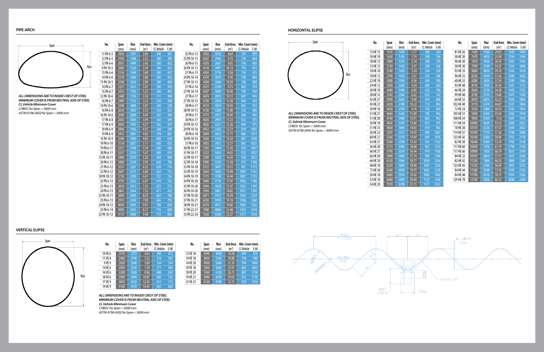**PIPE-ARCH**

| (mm)<br>1854<br>1930 | (mm)<br>1397 | (m <sup>2</sup> )<br>2.04 |                  |     |
|----------------------|--------------|---------------------------|------------------|-----|
|                      |              |                           | 300              | 381 |
|                      | 1448         | 2.23                      | 300              | 396 |
| 2057                 | 1499         | 2.42                      | 300              | 422 |
| 2060                 | 1520         | 2.49                      | 300              | 422 |
| 2134                 | 1549         | 2.60                      |                  | 437 |
| 2210                 | 1600         | 2.88                      | 300              | 452 |
|                      | 1630         | 2.90                      | 300              | 458 |
| 2337                 | 1651         | 3.07                      | 300              | 478 |
| 2413                 | 1702         | 3.25                      | 308              | 493 |
| 2440                 | 1750         | 3.36                      | 311              | 498 |
| 2489                 | 1753         | 3.53                      | 318              | 508 |
| 2590                 | 1880         | 3.87                      | 330              | 528 |
| 2616                 | 1803         | 3.72                      | 333              | 533 |
| 2690                 | 2080         | 4.49                      | 343              | 548 |
| 2692                 | 1854         | 3.99                      | 343              | 549 |
| 2845                 | 1905         | 4.27                      | 362              | 579 |
| 2896                 | 1956         | 4.55                      | 368              | 589 |
| 2972                 | 2007         | 4.83                      | 378              | 605 |
| 3100                 | 1980         | 4.83                      | 600              | 630 |
| $\overline{3124}$    | 2057         | 5.11                      | 600              | 635 |
| 3251                 | 2108         | 5.39                      | 600              | 660 |
| 3327                 | 2159         | 5.67                      | 600              | 676 |
| 3400                 | 2010         | 5.28                      | 684              | 690 |
| 3480                 | 2210         | 5.95                      | 630              | 706 |
| 3531                 | 2261         | 6.22                      | 628              | 716 |
| 3607                 | 2311         | 6.60                      | 633              | 732 |
| 3730                 | 2290         | 6.61                      | 722              | 756 |
| 3759                 | 2362         | 6.87                      | 674              | 762 |
| 3810                 | 2413         | 7.25                      | 672              | 772 |
| 3861                 | 2464         | 7.53                      | 671              | 782 |
| 3890                 | 2690         | 8.29                      | 682              | 788 |
| 3912                 | 2540         | 7.90                      | 665              | 793 |
| $\frac{4039}{ }$     | 2845         | 9.01                      | 709              | 818 |
| 4089                 | 2565         | 8.27                      | 716              | 828 |
| 4115                 | 2896         | 9.48                      | $\overline{715}$ | 833 |
|                      | 2240         |                           |                  | 300 |

| No.         | Span             | Rise | <b>End Area</b>    | Min. Cover (mm)   |                  |
|-------------|------------------|------|--------------------|-------------------|------------------|
|             | (mm)             | (mm) | (m <sup>2</sup> )  | <b>CL Vehicle</b> | $E-80$           |
| 25 PA 6-15  | 4242             | 2616 | 8.64               | 759               | 859              |
| 25 PA 10-13 | 4267             | 2946 | 9.75               | 754               | 864              |
| 26 PA 6-15  | 4293             | 2667 | 9.01               | 756               | 869              |
| 26 PA 10-13 | 4318             | 2997 | 10.13              | 754               | 874              |
| 27 PA 6-15  | 4343             | 2718 | 9.38               | 754               | 879              |
| 24 PA 10-14 | 4370             | 2870 | 9.76               | 798               | 884              |
| 27 PA 10-13 | 4394             | 3048 | 10.59              | 760               | 889              |
| 27 PA 6-16  | 4521             | 2769 | 9.75               | 803               | 914              |
| 27 PA 10-14 | 4547             | 3099 | 10.96              | 799               | 920              |
| 27 PA 6-17  | 4674             | 2819 | 10.13              | 847               | 945              |
| 27 PA 10-15 | 4720             | 3070 | 11.38              | 844               | 954              |
| 28 PA 6-17  | $\frac{4724}{ }$ | 2870 | 10.50              | 843               | 955              |
| 28 PA 10-15 | 4750             | 3200 | 11.80              | 722               | 960              |
| 29 PA 6-17  | 4775             | 2921 | 10.96              | 840               | $\overline{965}$ |
| 30 PA 6-17  | 4826             | 2997 | 11.33              | 832               | 975              |
| 29 PA 10-15 | 4826             | 3251 | 12.26              | 844               | 975              |
| 29 PA 10-16 | 4953             | 3302 | 12.73              | 878               | 1001             |
| 30 PA 6-18  | 5004             | 3023 | 11.71              | 886               | 1011             |
| 30 PA 10-16 | 5050             | 3330 | 13.24              | 887               | 1020             |
| 31 PA 6-18  | 5055             | 3073 | $\overline{12.12}$ | 883               | 1021             |
| 30 PA 10-17 | 5182             | 3404 | 13.56              | 924               | 1047             |
| 31 PA 10-17 | 5232             | 3454 | 14.03              | 923               | 1057             |
| 32 PA 10-17 | $\frac{1}{2}309$ | 3505 | 14.59              | 928               | 1072             |
| 32 PA 10-18 | 5490             | 3530 | 15.10              | 975               | 1108             |
| 33 PA 10-18 | 5512             | 3607 | 15.51              | 967               | 1113             |
| 33 PA 10-19 | 5664             | 3658 | 15.98              | 1009              | 1143             |
| 34 PA 10-19 | 5715             | 3708 | 16.44              | 1007              | 1153             |
| 34 PA 10-20 | 5890             | 3710 | 17.07              | 1056              | 1188             |
| 35 PA 10-20 | 5944             | 3810 | 17.47              | 1053              | 1199             |
| 36 PA 10-20 | 5994             | 3861 | 18.02              | 1051              | 1209             |
| 37 PA 10-20 | 6071             | 3912 | 18.58              | 1056              | 1224             |
| 37 PA 10-21 | 6250             | 3910 | 19.18              | 1106              | 1260             |
| 38 PA 10-21 | 6274             | 4013 | 19.60              | 1095              | 1265             |
| 31 PA 22-21 | 7040             | 4060 | 22.48              | 1422              | 1418             |
| 33 PA 22-24 | 7620             | 4240 | 25.27              | 1571              | 1534             |

*ALL DIMENSIONS ARE TO INSIDE CREST OF STEEL MINIMUM COVER IS FROM NEUTRAL AXIS OF STEEL CL Vehicle Minimum Cover CHBDC for Span > 3000 mm ASTM A796 (AISI) for Span < 3000 mm*

**HORIZONTAL ELIPSE**



*ALL DIMENSIONS ARE TO INSIDE CREST OF STEEL MINIMUM COVER IS FROM NEUTRAL AXIS OF STEEL CL Vehicle Minimum Cover CHBDC for Span > 3000 mm ASTM A796 (AISI) for Span < 3000 mm*

| No.      | Span | <b>Rise</b> | <b>End Area</b>   | Min. Cover (mm) |        | No.       | Span  | <b>Rise</b> | <b>End Area</b>   | Min. Cover (mm) |        |
|----------|------|-------------|-------------------|-----------------|--------|-----------|-------|-------------|-------------------|-----------------|--------|
|          | (mm) | (mm)        | (m <sup>2</sup> ) | CL Vehicle      | $E-80$ |           | (mm)  | (mm)        | (m <sup>2</sup> ) | CL Vehicle      | $E-80$ |
| 15 HE 15 | 1570 | 1430        | 1.77              | 300             | 324    | 81 HE 42  | 7420  | 5160        | 29.83             | 1245            | 1494   |
| 10 HE 10 | 1630 | 1350        | 1.74              | 300             | 336    | 58 HE 20  | 7470  | 4470        | 25.49             | 1254            | 1504   |
| 18 HE 15 | 1800 | 1510        | 2.14              | 300             | 370    | 90 HE 30  | 7670  | 4550        | 26.76             | 1287            | 1544   |
| 12 HE 12 | 2130 | 1420        | 2.41              | 300             | 436    | 58 HE 30  | 7950  | 5540        | 34.25             | 1334            | 1600   |
| 18 HE 10 | 2540 | 1630        | 3.24              | 324             | 518    | 93 HE 33  | 8000  | 4830        | 29.76             | 1342            | 1610   |
| 18 HE 12 | 2790 | 1630        | 3.57              | 355             | 568    | 96 HE 33  | 8230  | 4930        | 31.26             | 1380            | 1656   |
| 22 HE 10 | 2900 | 1930        | 4.36              | 369             | 590    | 60 HE 32  | 8280  | 5820        | 37.59             | 1389            | 1666   |
| 24 HE 12 | 3200 | 2260        | 5.64              | 600             | 650    | 93 HE 48  | 8510  | 5920        | 39.24             | 1427            | 1712   |
| 30 HE 10 | 3680 | 2440        | 6.85              | 622             | 746    | 66 HE 24  | 8560  | 5210        | 34.28             | 1435            | 1722   |
| 28 HE 12 | 3760 | 2260        | 6.62              | 635             | 762    | 99 HE 48  | 8790  | 5310        | 35.86             | 1474            | 1768   |
| 42 HE 27 | 3990 | 3020        | 9.48              | 674             | 808    | 66 HE 32  | 8970  | 6070        | 42.23             | 1504            | 1804   |
| 45 HE 27 | 4220 | 3100        | 10.22             | 712             | 854    | 102 HE 48 | 9170  | 6170        | 44.07             | 1537            | 1844   |
| 30 HE 18 | 4420 | 2790        | 9.78              | 745             | 894    | 72 HE 24  | 9220  | 5460        | 38.55             | 1545            | 1854   |
| 51 HE 27 | 4660 | 3260        | 11.89             | 785             | 942    | 105 HE 51 | 9500  | 6450        | 47.64             | 1592            | 1910   |
| 51 HE 30 | 4760 | 3480        | 12.91             | 802             | 962    | 108 HE 54 | 9830  | 6760        | 51.8              | 1647            | 1976   |
| 36 HE 18 | 4826 | 3429        | 12.86             | 813             | 975    | 111 HE 54 | 10060 | 6830        | 53.32             | 1685            | 2022   |
| 51 HE 33 | 4860 | 3690        | 14.03             | 819             | 982    | 78 HE 28  | 10110 | 6120        | 47.57             | 1694            | 2032   |
| 36 HE 22 | 5283 | 3531        | 14.59             | 889             | 1067   | 114 HE 57 | 10390 | 7110        | 57.26             | 1740            | 2088   |
| 60 HE 27 | 5340 | 3510        | 14.49             | 899             | 1078   | 123 HE 42 | 10540 | 6300        | 50.96             | 1765            | 2118   |
| 63 HE 27 | 5560 | 3590        | 15.42             | 935             | 1122   | 82 HE 30  | 10640 | 6500        | 53.29             | 1782            | 2138   |
| 36 HE 28 | 5715 | 3988        | 18.08             | 961             | 1153   | 117 HE 60 | 10690 | 7420        | 61.79             | 1790            | 2148   |
| 66 HE 27 | 5790 | 3670        | 16.44             | 974             | 1168   | 117 HE 66 | 10900 | 7850        | 66.79             | 1825            | 2190   |
| 66 HE 30 | 5890 | 3890        | 17.74             | 990             | 1188   | 84 HE 32  | 10970 | 6810        | 57.51             | 1837            | 2204   |
| 46 HE 20 | 6120 | 3960        | 18.77             | 1029            | 1234   | 82 HE 42  | 11250 | 7800        | 68.25             | 1884            | 2260   |
| 48 HE 18 | 6230 | 3840        | 18.40             | 1047            | 1256   | 123 HE 45 | 11330 | 6760        | 58.69             | 1897            | 2276   |
| 72 HE 30 | 6340 | 4050        | 19.79             | 1065            | 1278   | 84 HE 44  | 11580 | 8100        | 72.93             | 1939            | 2326   |
| 50 HE 18 | 6460 | 3910        | 19.42             | 1085            | 1302   | 84 HE 48  | 11790 | 8510        | 78.31             | 1974            | 2368   |
| 52 HE 18 | 6680 | 3990        | 20.49             | 1122            | 1346   | 129 HE 78 | 12190 | 9020        | 86.12             | 2040            | 2448   |
| 54 HE 20 | 7010 | 4290        | 23.15             | 1177            | 1412   |           |       |             |                   |                 |        |

## **VERTICAL ELIPSE**

*ALL DIMENSIONS ARE TO INSIDE CREST OF STEEL MINIMUM COVER IS FROM NEUTRAL AXIS OF STEEL CL Vehicle Minimum Cover CHBDC for Span > 3000 mm ASTM A796 (AISI) for Span < 3000 mm*

| No.     | Span              | Rise | <b>End Area</b>   | Min. Cover (mm) |      |
|---------|-------------------|------|-------------------|-----------------|------|
|         | (mm)              | (mm) | (m <sup>2</sup> ) | CL Vehicle      | E-80 |
| 10 VE 6 | $23\overline{10}$ | 2570 | 4.63              | 300             | 472  |
| 11 VE 6 | 2460              | 2740 | 5.23              | 314             | 502  |
| 9 VF 9  | 2620              | 2900 | 5.89              | 334             | 534  |
| 14 VE 6 | 2920              | 3230 | 7.29              | 371             | 594  |
| 16 VE 6 | 3200              | 3560 | 8.86              | 600             | 650  |
| 18 VE 6 | 3580              | 3890 | 10.87             | 600             | 726  |
| 17 VE 9 | 3810              | 4220 | 12.43             | 612             | 772  |
| 19 VE 9 | 4140              | 4570 | 14.43             | 665             | 838  |
|         |                   |      |                   |                 |      |

| No.      | Span | Rise | End Area          | Min. Cover (mm) |      |
|----------|------|------|-------------------|-----------------|------|
|          | (mm) | (mm) | (m <sup>2</sup> ) | CL Vehicle      | E-80 |
| 12 VE 18 | 4340 | 4830 | 16.58             | 694             | 878  |
| 14 VE 18 | 4650 | 5160 | 18.88             | 744             | 940  |
| 14 VE 20 | 4950 | 5460 | 21.35             | 794             | 1000 |
| 18 VF 18 | 5260 | 5820 | 23.97             | 842             | 1062 |
| 18 VE 20 | 5540 | 6120 | 26.73             | 887             | 1118 |
| 19 VE 21 | 5840 | 6450 | 29.65             | 935             | 1178 |
| 21 VE 21 | 6120 | 6780 | 32.72             | 978             | 1234 |







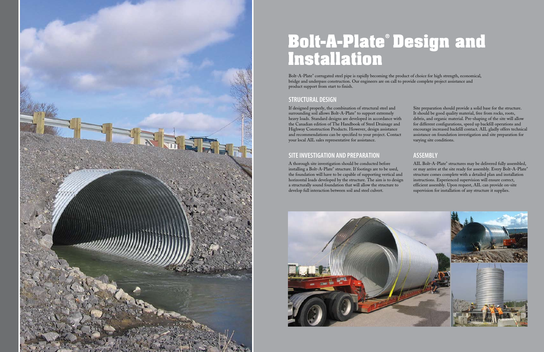

## **Bolt-A-Plate® Design and Installation**

Bolt-A-Plate® corrugated steel pipe is rapidly becoming the product of choice for high strength, economical, bridge and underpass construction. Our engineers are on call to provide complete project assistance and product support from start to finish.

## **STRUCTURAL DESIGN**

If designed properly, the combination of structural steel and surrounding soil allows Bolt-A-Plate® to support extremely heavy loads. Standard designs are developed in accordance with the Canadian edition of The Handbook of Steel Drainage and Highway Construction Products. However, design assistance and recommendations can be specified to your project. Contact your local AIL sales representative for assistance.

## **Site Investigation and Preparation**

A thorough site investigation should be conducted before installing a Bolt-A-Plate® structure. If footings are to be used, the foundation will have to be capable of supporting vertical and horizontal loads developed by the structure. The aim is to design a structurally sound foundation that will allow the structure to develop full interaction between soil and steel culvert. AIL Bolt-A-Plate® structures may be delivered fully assembled, or may arrive at the site ready for assembly. Every Bolt-A-Plate® structure comes complete with a detailed plan and installation instructions. Experienced supervision will ensure correct, efficient assembly. Upon request, AIL can provide on-site supervision for installation of any structure it supplies.



Site preparation should provide a solid base for the structure. It should be good quality material, free from rocks, roots, debris, and organic material. Pre-shaping of the site will allow for different configurations, speed up backfill operations and encourage increased backfill contact. AIL gladly offers technical assistance on foundation investigation and site preparation for varying site conditions.

## **ASSEMBLY**